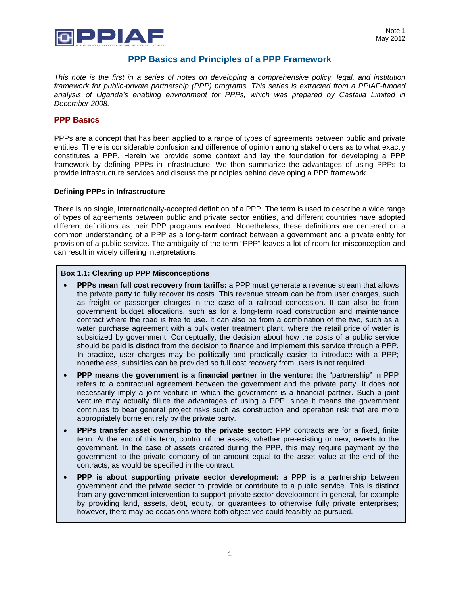

# **PPP Basics and Principles of a PPP Framework**

*This note is the first in a series of notes on developing a comprehensive policy, legal, and institution framework for public-private partnership (PPP) programs. This series is extracted from a PPIAF-funded analysis of Uganda's enabling environment for PPPs, which was prepared by Castalia Limited in December 2008.* 

## **PPP Basics**

PPPs are a concept that has been applied to a range of types of agreements between public and private entities. There is considerable confusion and difference of opinion among stakeholders as to what exactly constitutes a PPP. Herein we provide some context and lay the foundation for developing a PPP framework by defining PPPs in infrastructure. We then summarize the advantages of using PPPs to provide infrastructure services and discuss the principles behind developing a PPP framework.

#### **Defining PPPs in Infrastructure**

There is no single, internationally-accepted definition of a PPP. The term is used to describe a wide range of types of agreements between public and private sector entities, and different countries have adopted different definitions as their PPP programs evolved. Nonetheless, these definitions are centered on a common understanding of a PPP as a long-term contract between a government and a private entity for provision of a public service. The ambiguity of the term "PPP" leaves a lot of room for misconception and can result in widely differing interpretations.

#### **Box 1.1: Clearing up PPP Misconceptions**

- **PPPs mean full cost recovery from tariffs:** a PPP must generate a revenue stream that allows the private party to fully recover its costs. This revenue stream can be from user charges, such as freight or passenger charges in the case of a railroad concession. It can also be from government budget allocations, such as for a long-term road construction and maintenance contract where the road is free to use. It can also be from a combination of the two, such as a water purchase agreement with a bulk water treatment plant, where the retail price of water is subsidized by government. Conceptually, the decision about how the costs of a public service should be paid is distinct from the decision to finance and implement this service through a PPP. In practice, user charges may be politically and practically easier to introduce with a PPP; nonetheless, subsidies can be provided so full cost recovery from users is not required.
- **PPP means the government is a financial partner in the venture:** the "partnership" in PPP refers to a contractual agreement between the government and the private party. It does not necessarily imply a joint venture in which the government is a financial partner. Such a joint venture may actually dilute the advantages of using a PPP, since it means the government continues to bear general project risks such as construction and operation risk that are more appropriately borne entirely by the private party.
- **•** PPPs transfer asset ownership to the private sector: PPP contracts are for a fixed, finite term. At the end of this term, control of the assets, whether pre-existing or new, reverts to the government. In the case of assets created during the PPP, this may require payment by the government to the private company of an amount equal to the asset value at the end of the contracts, as would be specified in the contract.
- **PPP is about supporting private sector development:** a PPP is a partnership between government and the private sector to provide or contribute to a public service. This is distinct from any government intervention to support private sector development in general, for example by providing land, assets, debt, equity, or guarantees to otherwise fully private enterprises; however, there may be occasions where both objectives could feasibly be pursued.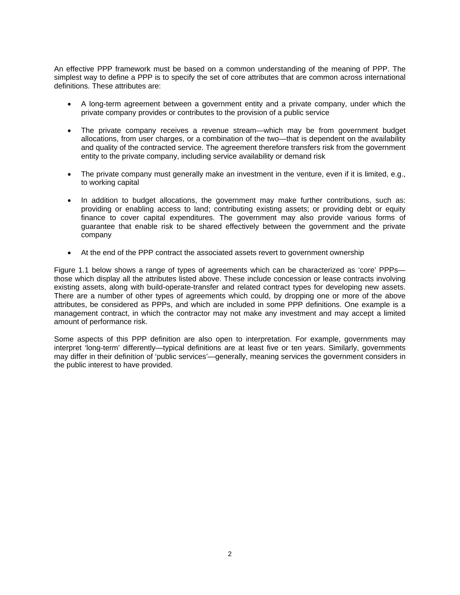An effective PPP framework must be based on a common understanding of the meaning of PPP. The simplest way to define a PPP is to specify the set of core attributes that are common across international definitions. These attributes are:

- A long-term agreement between a government entity and a private company, under which the private company provides or contributes to the provision of a public service
- The private company receives a revenue stream—which may be from government budget allocations, from user charges, or a combination of the two—that is dependent on the availability and quality of the contracted service. The agreement therefore transfers risk from the government entity to the private company, including service availability or demand risk
- The private company must generally make an investment in the venture, even if it is limited, e.g., to working capital
- In addition to budget allocations, the government may make further contributions, such as: providing or enabling access to land; contributing existing assets; or providing debt or equity finance to cover capital expenditures. The government may also provide various forms of guarantee that enable risk to be shared effectively between the government and the private company
- At the end of the PPP contract the associated assets revert to government ownership

Figure 1.1 below shows a range of types of agreements which can be characterized as 'core' PPPs those which display all the attributes listed above. These include concession or lease contracts involving existing assets, along with build-operate-transfer and related contract types for developing new assets. There are a number of other types of agreements which could, by dropping one or more of the above attributes, be considered as PPPs, and which are included in some PPP definitions. One example is a management contract, in which the contractor may not make any investment and may accept a limited amount of performance risk.

Some aspects of this PPP definition are also open to interpretation. For example, governments may interpret 'long-term' differently—typical definitions are at least five or ten years. Similarly, governments may differ in their definition of 'public services'—generally, meaning services the government considers in the public interest to have provided.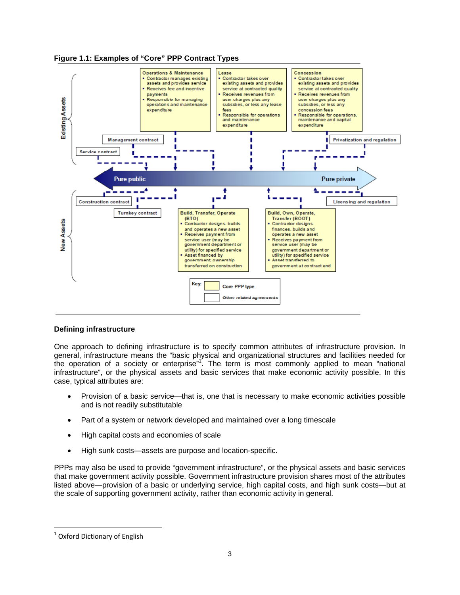



### **Defining infrastructure**

One approach to defining infrastructure is to specify common attributes of infrastructure provision. In general, infrastructure means the "basic physical and organizational structures and facilities needed for the operation of a society or enterprise"<sup>1</sup>. The term is most commonly applied to mean "national infrastructure", or the physical assets and basic services that make economic activity possible. In this case, typical attributes are:

- Provision of a basic service—that is, one that is necessary to make economic activities possible and is not readily substitutable
- Part of a system or network developed and maintained over a long timescale
- High capital costs and economies of scale
- High sunk costs—assets are purpose and location-specific.

PPPs may also be used to provide "government infrastructure", or the physical assets and basic services that make government activity possible. Government infrastructure provision shares most of the attributes listed above—provision of a basic or underlying service, high capital costs, and high sunk costs—but at the scale of supporting government activity, rather than economic activity in general.

<sup>&</sup>lt;sup>1</sup> Oxford Dictionary of English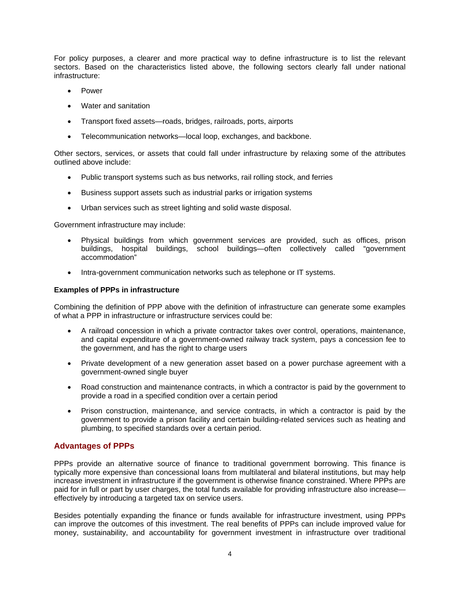For policy purposes, a clearer and more practical way to define infrastructure is to list the relevant sectors. Based on the characteristics listed above, the following sectors clearly fall under national infrastructure:

- Power
- Water and sanitation
- Transport fixed assets—roads, bridges, railroads, ports, airports
- Telecommunication networks—local loop, exchanges, and backbone.

Other sectors, services, or assets that could fall under infrastructure by relaxing some of the attributes outlined above include:

- Public transport systems such as bus networks, rail rolling stock, and ferries
- Business support assets such as industrial parks or irrigation systems
- Urban services such as street lighting and solid waste disposal.

Government infrastructure may include:

- Physical buildings from which government services are provided, such as offices, prison buildings, hospital buildings, school buildings—often collectively called "government accommodation"
- Intra-government communication networks such as telephone or IT systems.

### **Examples of PPPs in infrastructure**

Combining the definition of PPP above with the definition of infrastructure can generate some examples of what a PPP in infrastructure or infrastructure services could be:

- A railroad concession in which a private contractor takes over control, operations, maintenance, and capital expenditure of a government-owned railway track system, pays a concession fee to the government, and has the right to charge users
- Private development of a new generation asset based on a power purchase agreement with a government-owned single buyer
- Road construction and maintenance contracts, in which a contractor is paid by the government to provide a road in a specified condition over a certain period
- Prison construction, maintenance, and service contracts, in which a contractor is paid by the government to provide a prison facility and certain building-related services such as heating and plumbing, to specified standards over a certain period.

## **Advantages of PPPs**

PPPs provide an alternative source of finance to traditional government borrowing. This finance is typically more expensive than concessional loans from multilateral and bilateral institutions, but may help increase investment in infrastructure if the government is otherwise finance constrained. Where PPPs are paid for in full or part by user charges, the total funds available for providing infrastructure also increase effectively by introducing a targeted tax on service users.

Besides potentially expanding the finance or funds available for infrastructure investment, using PPPs can improve the outcomes of this investment. The real benefits of PPPs can include improved value for money, sustainability, and accountability for government investment in infrastructure over traditional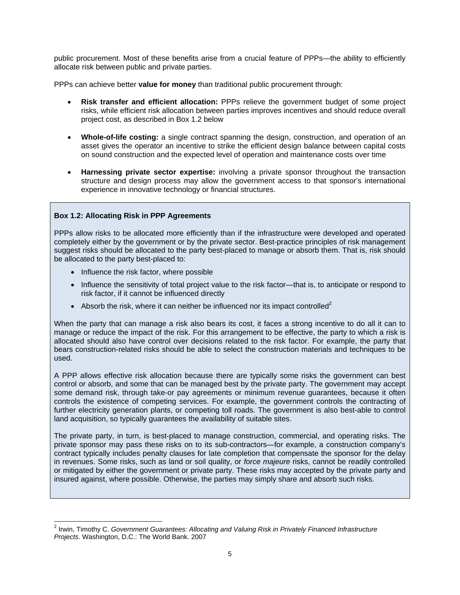public procurement. Most of these benefits arise from a crucial feature of PPPs—the ability to efficiently allocate risk between public and private parties.

PPPs can achieve better **value for money** than traditional public procurement through:

- **Risk transfer and efficient allocation:** PPPs relieve the government budget of some project risks, while efficient risk allocation between parties improves incentives and should reduce overall project cost, as described in Box 1.2 below
- **Whole-of-life costing:** a single contract spanning the design, construction, and operation of an asset gives the operator an incentive to strike the efficient design balance between capital costs on sound construction and the expected level of operation and maintenance costs over time
- **Harnessing private sector expertise:** involving a private sponsor throughout the transaction structure and design process may allow the government access to that sponsor's international experience in innovative technology or financial structures.

## **Box 1.2: Allocating Risk in PPP Agreements**

PPPs allow risks to be allocated more efficiently than if the infrastructure were developed and operated completely either by the government or by the private sector. Best-practice principles of risk management suggest risks should be allocated to the party best-placed to manage or absorb them. That is, risk should be allocated to the party best-placed to:

- Influence the risk factor, where possible
- Influence the sensitivity of total project value to the risk factor—that is, to anticipate or respond to risk factor, if it cannot be influenced directly
- Absorb the risk, where it can neither be influenced nor its impact controlled<sup>2</sup>

When the party that can manage a risk also bears its cost, it faces a strong incentive to do all it can to manage or reduce the impact of the risk. For this arrangement to be effective, the party to which a risk is allocated should also have control over decisions related to the risk factor. For example, the party that bears construction-related risks should be able to select the construction materials and techniques to be used.

A PPP allows effective risk allocation because there are typically some risks the government can best control or absorb, and some that can be managed best by the private party. The government may accept some demand risk, through take-or pay agreements or minimum revenue guarantees, because it often controls the existence of competing services. For example, the government controls the contracting of further electricity generation plants, or competing toll roads. The government is also best-able to control land acquisition, so typically guarantees the availability of suitable sites.

The private party, in turn, is best-placed to manage construction, commercial, and operating risks. The private sponsor may pass these risks on to its sub-contractors—for example, a construction company's contract typically includes penalty clauses for late completion that compensate the sponsor for the delay in revenues. Some risks, such as land or soil quality, or *force majeure* risks, cannot be readily controlled or mitigated by either the government or private party. These risks may accepted by the private party and insured against, where possible. Otherwise, the parties may simply share and absorb such risks.

 2 Irwin, Timothy C. *Government Guarantees: Allocating and Valuing Risk in Privately Financed Infrastructure Projects*. Washington, D.C.: The World Bank. 2007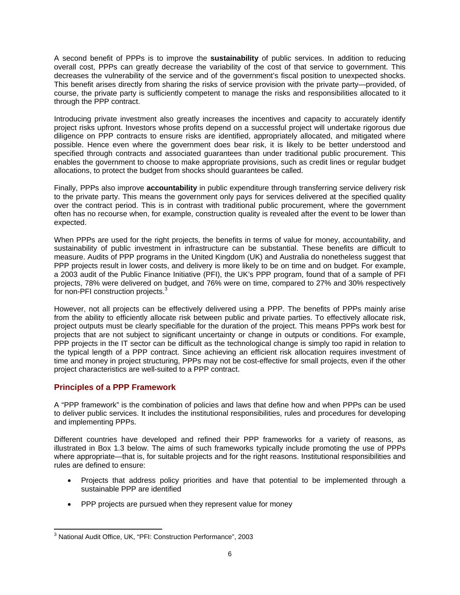A second benefit of PPPs is to improve the **sustainability** of public services. In addition to reducing overall cost, PPPs can greatly decrease the variability of the cost of that service to government. This decreases the vulnerability of the service and of the government's fiscal position to unexpected shocks. This benefit arises directly from sharing the risks of service provision with the private party—provided, of course, the private party is sufficiently competent to manage the risks and responsibilities allocated to it through the PPP contract.

Introducing private investment also greatly increases the incentives and capacity to accurately identify project risks upfront. Investors whose profits depend on a successful project will undertake rigorous due diligence on PPP contracts to ensure risks are identified, appropriately allocated, and mitigated where possible. Hence even where the government does bear risk, it is likely to be better understood and specified through contracts and associated guarantees than under traditional public procurement. This enables the government to choose to make appropriate provisions, such as credit lines or regular budget allocations, to protect the budget from shocks should guarantees be called.

Finally, PPPs also improve **accountability** in public expenditure through transferring service delivery risk to the private party. This means the government only pays for services delivered at the specified quality over the contract period. This is in contrast with traditional public procurement, where the government often has no recourse when, for example, construction quality is revealed after the event to be lower than expected.

When PPPs are used for the right projects, the benefits in terms of value for money, accountability, and sustainability of public investment in infrastructure can be substantial. These benefits are difficult to measure. Audits of PPP programs in the United Kingdom (UK) and Australia do nonetheless suggest that PPP projects result in lower costs, and delivery is more likely to be on time and on budget. For example, a 2003 audit of the Public Finance Initiative (PFI), the UK's PPP program, found that of a sample of PFI projects, 78% were delivered on budget, and 76% were on time, compared to 27% and 30% respectively for non-PFI construction projects.<sup>3</sup>

However, not all projects can be effectively delivered using a PPP. The benefits of PPPs mainly arise from the ability to efficiently allocate risk between public and private parties. To effectively allocate risk, project outputs must be clearly specifiable for the duration of the project. This means PPPs work best for projects that are not subject to significant uncertainty or change in outputs or conditions. For example, PPP projects in the IT sector can be difficult as the technological change is simply too rapid in relation to the typical length of a PPP contract. Since achieving an efficient risk allocation requires investment of time and money in project structuring, PPPs may not be cost-effective for small projects, even if the other project characteristics are well-suited to a PPP contract.

# **Principles of a PPP Framework**

A "PPP framework" is the combination of policies and laws that define how and when PPPs can be used to deliver public services. It includes the institutional responsibilities, rules and procedures for developing and implementing PPPs.

Different countries have developed and refined their PPP frameworks for a variety of reasons, as illustrated in Box 1.3 below. The aims of such frameworks typically include promoting the use of PPPs where appropriate—that is, for suitable projects and for the right reasons. Institutional responsibilities and rules are defined to ensure:

- Projects that address policy priorities and have that potential to be implemented through a sustainable PPP are identified
- PPP projects are pursued when they represent value for money

 <sup>3</sup> National Audit Office, UK, "PFI: Construction Performance", 2003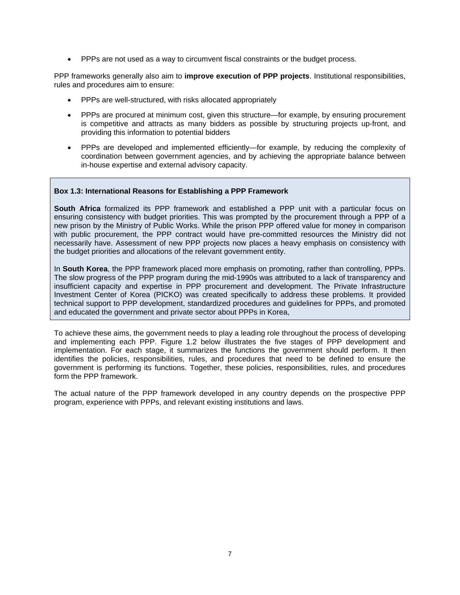PPPs are not used as a way to circumvent fiscal constraints or the budget process.

PPP frameworks generally also aim to **improve execution of PPP projects**. Institutional responsibilities, rules and procedures aim to ensure:

- PPPs are well-structured, with risks allocated appropriately
- PPPs are procured at minimum cost, given this structure—for example, by ensuring procurement is competitive and attracts as many bidders as possible by structuring projects up-front, and providing this information to potential bidders
- PPPs are developed and implemented efficiently—for example, by reducing the complexity of coordination between government agencies, and by achieving the appropriate balance between in-house expertise and external advisory capacity.

### **Box 1.3: International Reasons for Establishing a PPP Framework**

**South Africa** formalized its PPP framework and established a PPP unit with a particular focus on ensuring consistency with budget priorities. This was prompted by the procurement through a PPP of a new prison by the Ministry of Public Works. While the prison PPP offered value for money in comparison with public procurement, the PPP contract would have pre-committed resources the Ministry did not necessarily have. Assessment of new PPP projects now places a heavy emphasis on consistency with the budget priorities and allocations of the relevant government entity.

In **South Korea**, the PPP framework placed more emphasis on promoting, rather than controlling, PPPs. The slow progress of the PPP program during the mid-1990s was attributed to a lack of transparency and insufficient capacity and expertise in PPP procurement and development. The Private Infrastructure Investment Center of Korea (PICKO) was created specifically to address these problems. It provided technical support to PPP development, standardized procedures and guidelines for PPPs, and promoted and educated the government and private sector about PPPs in Korea,

To achieve these aims, the government needs to play a leading role throughout the process of developing and implementing each PPP. Figure 1.2 below illustrates the five stages of PPP development and implementation. For each stage, it summarizes the functions the government should perform. It then identifies the policies, responsibilities, rules, and procedures that need to be defined to ensure the government is performing its functions. Together, these policies, responsibilities, rules, and procedures form the PPP framework.

The actual nature of the PPP framework developed in any country depends on the prospective PPP program, experience with PPPs, and relevant existing institutions and laws.